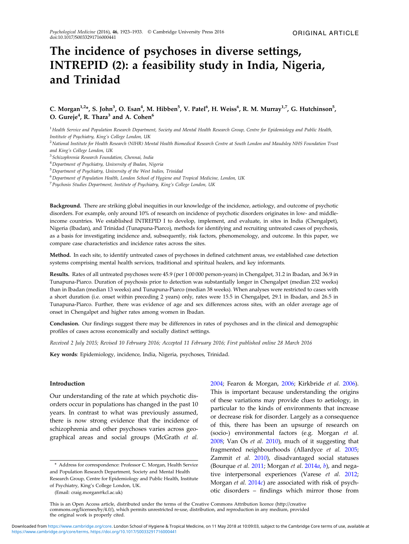# The incidence of psychoses in diverse settings, INTREPID (2): a feasibility study in India, Nigeria, and Trinidad

# C. Morgan<sup>1,2</sup>\*, S. John<sup>3</sup>, O. Esan<sup>4</sup>, M. Hibben<sup>5</sup>, V. Patel<sup>6</sup>, H. Weiss<sup>6</sup>, R. M. Murray<sup>1,7</sup>, G. Hutchinson<sup>5</sup>, O. Gureje $^4$ , R. Thara $^3$  and A. Cohen $^6$

<sup>1</sup> Health Service and Population Research Department, Society and Mental Health Research Group, Centre for Epidemiology and Public Health, Institute of Psychiatry, King's College London, UK

<sup>2</sup> National Institute for Health Research (NIHR) Mental Health Biomedical Research Centre at South London and Maudsley NHS Foundation Trust and King's College London, UK

<sup>3</sup> Schizophrenia Research Foundation, Chennai, India

<sup>4</sup>Department of Psychiatry, University of Ibadan, Nigeria

<sup>5</sup>Department of Psychiatry, University of the West Indies, Trinidad

<sup>6</sup> Department of Population Health, London School of Hygiene and Tropical Medicine, London, UK

<sup>7</sup>Psychosis Studies Department, Institute of Psychiatry, King's College London, UK

Background. There are striking global inequities in our knowledge of the incidence, aetiology, and outcome of psychotic disorders. For example, only around 10% of research on incidence of psychotic disorders originates in low- and middleincome countries. We established INTREPID I to develop, implement, and evaluate, in sites in India (Chengalpet), Nigeria (Ibadan), and Trinidad (Tunapuna-Piarco), methods for identifying and recruiting untreated cases of psychosis, as a basis for investigating incidence and, subsequently, risk factors, phenomenology, and outcome. In this paper, we compare case characteristics and incidence rates across the sites.

Method. In each site, to identify untreated cases of psychoses in defined catchment areas, we established case detection systems comprising mental health services, traditional and spiritual healers, and key informants.

Results. Rates of all untreated psychoses were 45.9 (per 1 00 000 person-years) in Chengalpet, 31.2 in Ibadan, and 36.9 in Tunapuna-Piarco. Duration of psychosis prior to detection was substantially longer in Chengalpet (median 232 weeks) than in Ibadan (median 13 weeks) and Tunapuna-Piarco (median 38 weeks). When analyses were restricted to cases with a short duration (i.e. onset within preceding 2 years) only, rates were 15.5 in Chengalpet, 29.1 in Ibadan, and 26.5 in Tunapuna-Piarco. Further, there was evidence of age and sex differences across sites, with an older average age of onset in Chengalpet and higher rates among women in Ibadan.

Conclusion. Our findings suggest there may be differences in rates of psychoses and in the clinical and demographic profiles of cases across economically and socially distinct settings.

Received 2 July 2015; Revised 10 February 2016; Accepted 11 February 2016; First published online 28 March 2016

Key words: Epidemiology, incidence, India, Nigeria, psychoses, Trinidad.

## Introduction

Our understanding of the rate at which psychotic disorders occur in populations has changed in the past 10 years. In contrast to what was previously assumed, there is now strong evidence that the incidence of schizophrenia and other psychoses varies across geographical areas and social groups (McGrath et al.

(Email: craig.morgan@kcl.ac.uk)

[2004;](#page-9-0) Fearon & Morgan, [2006](#page-9-0); Kirkbride et al. [2006](#page-9-0)). This is important because understanding the origins of these variations may provide clues to aetiology, in particular to the kinds of environments that increase or decrease risk for disorder. Largely as a consequence of this, there has been an upsurge of research on (socio-) environmental factors (e.g. Morgan et al. [2008;](#page-9-0) Van Os et al. [2010](#page-10-0)), much of it suggesting that fragmented neighbourhoods (Allardyce et al. [2005](#page-9-0); Zammit et al. [2010\)](#page-10-0), disadvantaged social statuses (Bourque et al.  $2011$ ; Morgan et al.  $2014a$  $2014a$ , [b](#page-9-0)), and negative interpersonal experiences (Varese et al. [2012](#page-10-0); Morgan et al.  $2014c$  $2014c$ ) are associated with risk of psychotic disorders – findings which mirror those from

<sup>\*</sup> Address for correspondence: Professor C. Morgan, Health Service and Population Research Department, Society and Mental Health Research Group, Centre for Epidemiology and Public Health, Institute of Psychiatry, King's College London, UK.

This is an Open Access article, distributed under the terms of the Creative Commons Attribution licence (http://creative commons.org/licenses/by/4.0/), which permits unrestricted re-use, distribution, and reproduction in any medium, provided the original work is properly cited.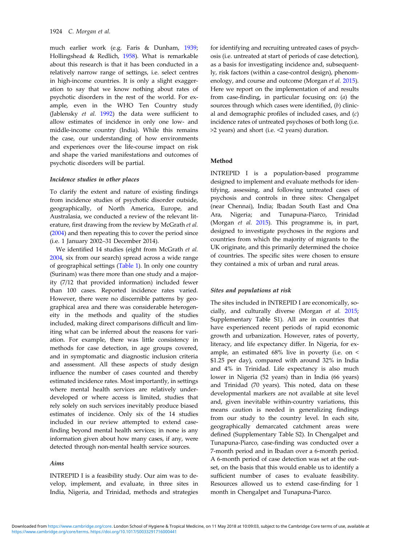much earlier work (e.g. Faris & Dunham, [1939](#page-9-0); Hollingshead & Redlich, [1958\)](#page-9-0). What is remarkable about this research is that it has been conducted in a relatively narrow range of settings, i.e. select centres in high-income countries. It is only a slight exaggeration to say that we know nothing about rates of psychotic disorders in the rest of the world. For example, even in the WHO Ten Country study (Jablensky et al. [1992\)](#page-9-0) the data were sufficient to allow estimates of incidence in only one low- and middle-income country (India). While this remains the case, our understanding of how environments and experiences over the life-course impact on risk and shape the varied manifestations and outcomes of psychotic disorders will be partial.

#### Incidence studies in other places

To clarify the extent and nature of existing findings from incidence studies of psychotic disorder outside, geographically, of North America, Europe, and Australasia, we conducted a review of the relevant literature, first drawing from the review by McGrath et al. ([2004\)](#page-9-0) and then repeating this to cover the period since (i.e. 1 January 2002–31 December 2014).

We identified 14 studies (eight from McGrath et al. [2004,](#page-9-0) six from our search) spread across a wide range of geographical settings ([Table 1\)](#page-2-0). In only one country (Surinam) was there more than one study and a majority (7/12 that provided information) included fewer than 100 cases. Reported incidence rates varied. However, there were no discernible patterns by geographical area and there was considerable heterogeneity in the methods and quality of the studies included, making direct comparisons difficult and limiting what can be inferred about the reasons for variation. For example, there was little consistency in methods for case detection, in age groups covered, and in symptomatic and diagnostic inclusion criteria and assessment. All these aspects of study design influence the number of cases counted and thereby estimated incidence rates. Most importantly, in settings where mental health services are relatively underdeveloped or where access is limited, studies that rely solely on such services inevitably produce biased estimates of incidence. Only six of the 14 studies included in our review attempted to extend casefinding beyond mental health services; in none is any information given about how many cases, if any, were detected through non-mental health service sources.

#### Aims

INTREPID I is a feasibility study. Our aim was to develop, implement, and evaluate, in three sites in India, Nigeria, and Trinidad, methods and strategies

for identifying and recruiting untreated cases of psychosis (i.e. untreated at start of periods of case detection), as a basis for investigating incidence and, subsequently, risk factors (within a case-control design), phenom-enology, and course and outcome (Morgan et al. [2015](#page-9-0)). Here we report on the implementation of and results from case-finding, in particular focusing on: (a) the sources through which cases were identified, (b) clinical and demographic profiles of included cases, and  $(c)$ incidence rates of untreated psychoses of both long (i.e. >2 years) and short (i.e. <2 years) duration.

## Method

INTREPID I is a population-based programme designed to implement and evaluate methods for identifying, assessing, and following untreated cases of psychosis and controls in three sites: Chengalpet (near Chennai), India; Ibadan South East and Ona Ara, Nigeria; and Tunapuna-Piarco, Trinidad (Morgan et al. [2015](#page-9-0)). This programme is, in part, designed to investigate psychoses in the regions and countries from which the majority of migrants to the UK originate, and this primarily determined the choice of countries. The specific sites were chosen to ensure they contained a mix of urban and rural areas.

#### Sites and populations at risk

The sites included in INTREPID I are economically, socially, and culturally diverse (Morgan et al. [2015](#page-9-0); Supplementary Table S1). All are in countries that have experienced recent periods of rapid economic growth and urbanization. However, rates of poverty, literacy, and life expectancy differ. In Nigeria, for example, an estimated 68% live in poverty (i.e. on < \$1.25 per day), compared with around 32% in India and 4% in Trinidad. Life expectancy is also much lower in Nigeria (52 years) than in India (66 years) and Trinidad (70 years). This noted, data on these developmental markers are not available at site level and, given inevitable within-country variations, this means caution is needed in generalizing findings from our study to the country level. In each site, geographically demarcated catchment areas were defined (Supplementary Table S2). In Chengalpet and Tunapuna-Piarco, case-finding was conducted over a 7-month period and in Ibadan over a 6-month period. A 6-month period of case detection was set at the outset, on the basis that this would enable us to identify a sufficient number of cases to evaluate feasibility. Resources allowed us to extend case-finding for 1 month in Chengalpet and Tunapuna-Piarco.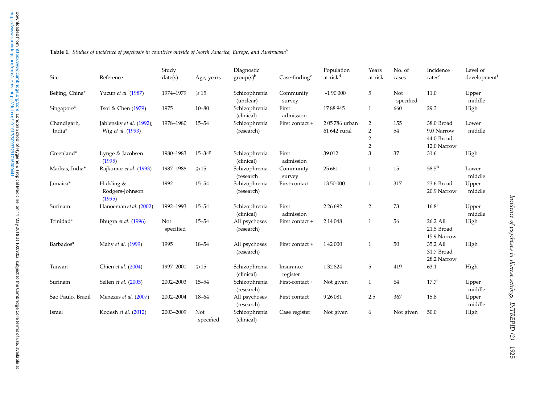| Site                  | Reference                                     | Study<br>date(s) | Age, years       | Diagnostic<br>$group(s)^{b}$ | $\text{Case-finding}^c$ | Population<br>at risk <sup>d</sup> | Years<br>at risk                                    | No. of<br>cases  | Incidence<br>rates <sup>e</sup>                       | Level of<br>development <sup>t</sup> |
|-----------------------|-----------------------------------------------|------------------|------------------|------------------------------|-------------------------|------------------------------------|-----------------------------------------------------|------------------|-------------------------------------------------------|--------------------------------------|
| Beijing, China*       | Yucun et al. (1987)                           | 1974-1979        | $\geqslant$ 15   | Schizophrenia<br>(unclear)   | Community<br>survey     | $\sim$ 190000                      | 5                                                   | Not<br>specified | 11.0                                                  | Upper<br>middle                      |
| Singapore*            | Tsoi & Chen (1979)                            | 1975             | $10 - 80$        | Schizophrenia<br>(clinical)  | First<br>admission      | 1788945                            | 1                                                   | 660              | 29.3                                                  | High                                 |
| Chandigarh,<br>India* | Jablensky et al. (1992);<br>Wig et al. (1993) | 1978-1980        | $15 - 54$        | Schizophrenia<br>(research)  | First contact +         | 205786 urban<br>61 642 rural       | 2<br>$\sqrt{2}$<br>$\overline{2}$<br>$\overline{2}$ | 155<br>54        | 38.0 Broad<br>9.0 Narrow<br>44.0 Broad<br>12.0 Narrow | Lower<br>middle                      |
| Greenland*            | Lynge & Jacobsen<br>(1995)                    | 1980-1983        | $15 - 348$       | Schizophrenia<br>(clinical)  | First<br>admission      | 39012                              | 3                                                   | 37               | 31.6                                                  | High                                 |
| Madras, India*        | Rajkumar et al. (1993)                        | 1987-1988        | $\geqslant$ 15   | Schizophrenia<br>(research   | Community<br>survey     | 25 6 61                            | 1                                                   | 15               | $58.5^{\rm h}$                                        | Lower<br>middle                      |
| Jamaica*              | Hickling &<br>Rodgers-Johnson<br>(1995)       | 1992             | $15 - 54$        | Schizophrenia<br>(research)  | First-contact           | 13 50 000                          | 1                                                   | 317              | 23.6 Broad<br>20.9 Narrow                             | Upper<br>middle                      |
| Surinam               | Hanoeman et al. (2002)                        | 1992-1993        | $15 - 54$        | Schizophrenia<br>(clinical)  | First<br>admission      | 2 2 6 6 9 2                        | $\overline{2}$                                      | 73               | $16.8^{i}$                                            | Upper<br>middle                      |
| Trinidad*             | Bhugra et al. (1996)                          | Not<br>specified | $15 - 54$        | All psychoses<br>(research)  | First contact +         | 2 14 0 48                          | $\mathbf{1}$                                        | 56               | 26.2 All<br>21.5 Broad<br>15.9 Narrow                 | High                                 |
| Barbados*             | Mahy et al. (1999)                            | 1995             | 18-54            | All psychoses<br>(research)  | First contact +         | 142000                             | 1                                                   | 50               | 35.2 All<br>31.7 Broad<br>28.2 Narrow                 | High                                 |
| Taiwan                | Chien et al. (2004)                           | 1997-2001        | $\geqslant$ 15   | Schizophrenia<br>(clinical)  | Insurance<br>register   | 132824                             | 5                                                   | 419              | 63.1                                                  | High                                 |
| Surinam               | Selten et al. (2005)                          | 2002-2003        | $15 - 54$        | Schizophrenia<br>(research)  | First-contact +         | Not given                          | 1                                                   | 64               | $17.7^{\rm i}$                                        | Upper<br>middle                      |
| Sao Paulo, Brazil     | Menezes et al. (2007)                         | 2002-2004        | $18 - 64$        | All psychoses<br>(research)  | First contact           | 926081                             | 2.5                                                 | 367              | 15.8                                                  | Upper<br>middle                      |
| Israel                | Kodesh et al. (2012)                          | 2003-2009        | Not<br>specified | Schizophrenia<br>(clinical)  | Case register           | Not given                          | 6                                                   | Not given        | 50.0                                                  | High                                 |

<span id="page-2-0"></span>**Table 1.** Studies of incidence of psychosis in countries outside of North America, Europe, and Australasia<sup>a</sup>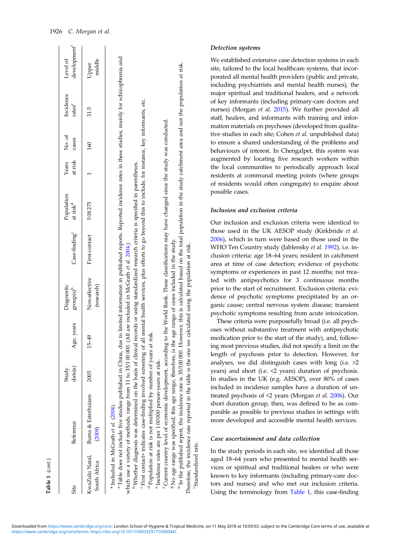| Table 1 (cont.)                |                                                                                                                                                                                                                                                                                                                                                                                                                                                                                                                                                                                                                                                                                                                                                                                                                                                                                                                                                                                                                                                                                                                                                                                                                                                                                                                                          |                  |            |                             |                                                                                                                       |                                    |                  |                 |                                 |                                      |
|--------------------------------|------------------------------------------------------------------------------------------------------------------------------------------------------------------------------------------------------------------------------------------------------------------------------------------------------------------------------------------------------------------------------------------------------------------------------------------------------------------------------------------------------------------------------------------------------------------------------------------------------------------------------------------------------------------------------------------------------------------------------------------------------------------------------------------------------------------------------------------------------------------------------------------------------------------------------------------------------------------------------------------------------------------------------------------------------------------------------------------------------------------------------------------------------------------------------------------------------------------------------------------------------------------------------------------------------------------------------------------|------------------|------------|-----------------------------|-----------------------------------------------------------------------------------------------------------------------|------------------------------------|------------------|-----------------|---------------------------------|--------------------------------------|
| Site                           | Reference                                                                                                                                                                                                                                                                                                                                                                                                                                                                                                                                                                                                                                                                                                                                                                                                                                                                                                                                                                                                                                                                                                                                                                                                                                                                                                                                | date(s)<br>Study | Age, years | Diagnostic<br>$group(s)^b$  | Case-finding <sup>c</sup>                                                                                             | Population<br>at risk <sup>d</sup> | at risk<br>Years | No. of<br>cases | Incidence<br>rates <sup>e</sup> | development <sup>1</sup><br>Level of |
| KwaZulu Natal,<br>South Africa | <b>Burns &amp; Esterhuizen</b><br>(2008)                                                                                                                                                                                                                                                                                                                                                                                                                                                                                                                                                                                                                                                                                                                                                                                                                                                                                                                                                                                                                                                                                                                                                                                                                                                                                                 |                  | $15 - 49$  | Non-affective<br>(research) | First-contact                                                                                                         | 508275                             |                  | 160             | 31.5                            | middle<br>Upper                      |
|                                | <sup>a</sup> Table does not include five studies published in China, due to limited information in published reports. Reported incidence rates in these studies, mainly for schizophrenia and<br><sup>c</sup> First contact+ indicates case-finding involved screening of all mental health services, plus efforts to go beyond this to include, for instance, key informants, etc.<br><sup>t</sup> Current country level of economic development, according to the World Bank. These dassifications may have changed since the study was conducted.<br><sup>b</sup> Whether diagnosis was determined on the basis of clinical records or using standardized research criteria is specified in parentheses.<br><sup>8</sup> No age range was specified; this age range, therefore, is the age range of cases included in the study.<br>which use a variety of methods, range from 11 to 35/1 00 000. (All are included in McGrath et al. 2004.)<br>Therefore, the incidence rate reported in the table is the one we calculated using the population at risk.<br><sup>d</sup> Population at risk is not multiplied by number of years at risk.<br><sup>h</sup> In the published report, the incidence rate is 35/100 000. I<br><sup>e</sup> Incidence rates are per 100000 person-years at risk.<br>* Included in McGrath et al. (2004). |                  |            |                             | However, this is calculated based on the total population in the study catchment area and not the population at risk. |                                    |                  |                 |                                 |                                      |

## Detection systems

We established extensive case detection systems in each site, tailored to the local healthcare systems, that incorporated all mental health providers (public and private, including psychiatrists and mental health nurses), the major spiritual and traditional healers, and a network of key informants (including primary-care doctors and nurses) (Morgan et al. [2015\)](#page-9-0). We further provided all staff, healers, and informants with training and information materials on psychoses (developed from qualitative studies in each site; Cohen et al. unpublished data) to ensure a shared understanding of the problems and behaviours of interest. In Chengalpet, this system was augmented by locating five research workers within the local communities to periodically approach local residents at communal meeting points (where groups of residents would often congregate) to enquire about possible cases.

## Inclusion and exclusion criteria

Our inclusion and exclusion criteria were identical to those used in the UK AESOP study (Kirkbride et al. [2006\)](#page-9-0), which in turn were based on those used in the WHO Ten Country study (Jablensky et al. [1992\)](#page-9-0), i.e. inclusion criteria: age 18–64 years; resident in catchment area at time of case detection; evidence of psychotic symptoms or experiences in past 12 months; not treated with antipsychotics for 3 continuous months prior to the start of recruitment. Exclusion criteria: evidence of psychotic symptoms precipitated by an organic cause; central nervous system disease; transient psychotic symptoms resulting from acute intoxication.

These criteria were purposefully broad (i.e. all psychoses without substantive treatment with antipsychotic medication prior to the start of the study), and, following most previous studies, did not specify a limit on the length of psychosis prior to detection. However, for analyses, we did distinguish cases with long (i.e. >2 years) and short (i.e. <2 years) duration of psychosis. In studies in the UK (e.g. AESOP), over 80% of cases included in incidence samples have a duration of untreated psychosis of <2 years (Morgan et al. [2006\)](#page-9-0). Our short duration group, then, was defined to be as comparable as possible to previous studies in settings with more developed and accessible mental health services.

## Case ascertainment and data collection

In the study periods in each site, we identified all those aged 18–64 years who presented to mental health services or spiritual and traditional healers or who were known to key informants (including primary-care doctors and nurses) and who met our inclusion criteria. Using the terminology from [Table 1,](#page-2-0) this case-finding

Standardized rate.

Therefore, the incidence rate reported in the table is the one we calculated using the population at risk. is and ardized rate.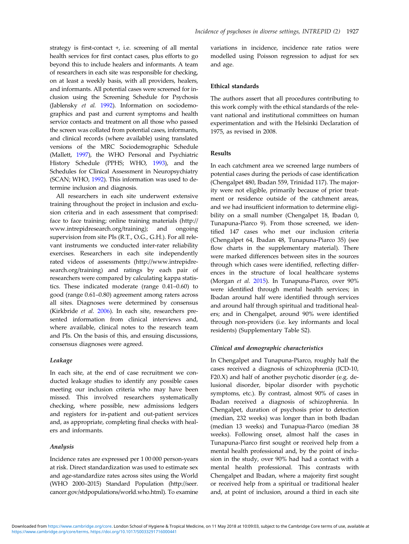strategy is first-contact +, i.e. screening of all mental health services for first contact cases, plus efforts to go beyond this to include healers and informants. A team of researchers in each site was responsible for checking, on at least a weekly basis, with all providers, healers, and informants. All potential cases were screened for inclusion using the Screening Schedule for Psychosis (Jablensky et al. [1992\)](#page-9-0). Information on sociodemographics and past and current symptoms and health service contacts and treatment on all those who passed the screen was collated from potential cases, informants, and clinical records (where available) using translated versions of the MRC Sociodemographic Schedule (Mallett, [1997\)](#page-9-0), the WHO Personal and Psychiatric History Schedule (PPHS; WHO, [1993](#page-10-0)), and the Schedules for Clinical Assessment in Neuropsychiatry (SCAN; WHO, [1992](#page-10-0)). This information was used to determine inclusion and diagnosis.

All researchers in each site underwent extensive training throughout the project in inclusion and exclusion criteria and in each assessment that comprised: face to face training; online training materials (http:// www.intrepidresearch.org/training); and ongoing supervision from site PIs (R.T., O.G., G.H.). For all relevant instruments we conducted inter-rater reliability exercises. Researchers in each site independently rated videos of assessments (http://www.intrepidresearch.org/training) and ratings by each pair of researchers were compared by calculating kappa statistics. These indicated moderate (range 0.41–0.60) to good (range 0.61–0.80) agreement among raters across all sites. Diagnoses were determined by consensus (Kirkbride et al. [2006\)](#page-9-0). In each site, researchers presented information from clinical interviews and, where available, clinical notes to the research team and PIs. On the basis of this, and ensuing discussions, consensus diagnoses were agreed.

## Leakage

In each site, at the end of case recruitment we conducted leakage studies to identify any possible cases meeting our inclusion criteria who may have been missed. This involved researchers systematically checking, where possible, new admissions ledgers and registers for in-patient and out-patient services and, as appropriate, completing final checks with healers and informants.

## Analysis

Incidence rates are expressed per 1 00 000 person-years at risk. Direct standardization was used to estimate sex and age-standardize rates across sites using the World (WHO 2000–2015) Standard Population (http://seer. cancer.gov/stdpopulations/world.who.html). To examine

variations in incidence, incidence rate ratios were modelled using Poisson regression to adjust for sex and age.

#### Ethical standards

The authors assert that all procedures contributing to this work comply with the ethical standards of the relevant national and institutional committees on human experimentation and with the Helsinki Declaration of 1975, as revised in 2008.

## Results

In each catchment area we screened large numbers of potential cases during the periods of case identification (Chengalpet 480, Ibadan 559, Trinidad 117). The majority were not eligible, primarily because of prior treatment or residence outside of the catchment areas, and we had insufficient information to determine eligibility on a small number (Chengalpet 18, Ibadan 0, Tunapuna-Piarco 9). From those screened, we identified 147 cases who met our inclusion criteria (Chengalpet 64, Ibadan 48, Tunapuna-Piarco 35) (see flow charts in the supplementary material). There were marked differences between sites in the sources through which cases were identified, reflecting differences in the structure of local healthcare systems (Morgan et al. [2015](#page-9-0)). In Tunapuna-Piarco, over 90% were identified through mental health services; in Ibadan around half were identified through services and around half through spiritual and traditional healers; and in Chengalpet, around 90% were identified through non-providers (i.e. key informants and local residents) (Supplementary Table S2).

## Clinical and demographic characteristics

In Chengalpet and Tunapuna-Piarco, roughly half the cases received a diagnosis of schizophrenia (ICD-10, F20.X) and half of another psychotic disorder (e.g. delusional disorder, bipolar disorder with psychotic symptoms, etc.). By contrast, almost 90% of cases in Ibadan received a diagnosis of schizophrenia. In Chengalpet, duration of psychosis prior to detection (median, 232 weeks) was longer than in both Ibadan (median 13 weeks) and Tunapua-Piarco (median 38 weeks). Following onset, almost half the cases in Tunapuna-Piarco first sought or received help from a mental health professional and, by the point of inclusion in the study, over 90% had had a contact with a mental health professional. This contrasts with Chengalpet and Ibadan, where a majority first sought or received help from a spiritual or traditional healer and, at point of inclusion, around a third in each site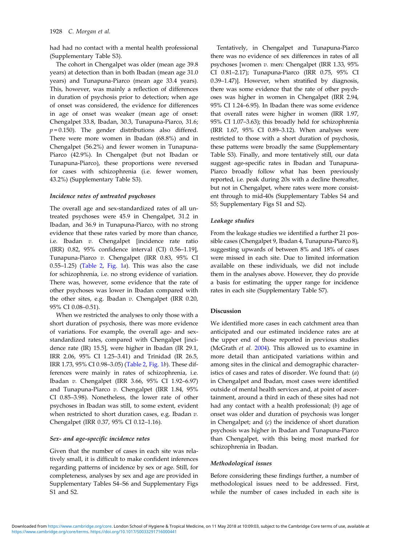had had no contact with a mental health professional (Supplementary Table S3).

The cohort in Chengalpet was older (mean age 39.8 years) at detection than in both Ibadan (mean age 31.0 years) and Tunapuna-Piarco (mean age 33.4 years). This, however, was mainly a reflection of differences in duration of psychosis prior to detection; when age of onset was considered, the evidence for differences in age of onset was weaker (mean age of onset: Chengalpet 33.8, Ibadan, 30.3, Tunapuna-Piarco, 31.6;  $p = 0.150$ ). The gender distributions also differed. There were more women in Ibadan (68.8%) and in Chengalpet (56.2%) and fewer women in Tunapuna-Piarco (42.9%). In Chengalpet (but not Ibadan or Tunapuna-Piarco), these proportions were reversed for cases with schizophrenia (i.e. fewer women, 43.2%) (Supplementary Table S3).

## Incidence rates of untreated psychoses

The overall age and sex-standardized rates of all untreated psychoses were 45.9 in Chengalpet, 31.2 in Ibadan, and 36.9 in Tunapuna-Piarco, with no strong evidence that these rates varied by more than chance, i.e. Ibadan v. Chengalpet [incidence rate ratio (IRR) 0.82, 95% confidence interval (CI) 0.56–1.19], Tunapuna-Piarco v. Chengalpet (IRR 0.83, 95% CI  $(0.55-1.25)$  ([Table 2,](#page-6-0) [Fig. 1](#page-7-0)a). This was also the case for schizophrenia, i.e. no strong evidence of variation. There was, however, some evidence that the rate of other psychoses was lower in Ibadan compared with the other sites, e.g. Ibadan v. Chengalpet (IRR 0.20, 95% CI 0.08–0.51).

When we restricted the analyses to only those with a short duration of psychosis, there was more evidence of variations. For example, the overall age- and sexstandardized rates, compared with Chengalpet [incidence rate (IR) 15.5], were higher in Ibadan (IR 29.1, IRR 2.06, 95% CI 1.25–3.41) and Trinidad (IR 26.5, IRR 1.73, 95% CI 0.98–3.05) [\(Table 2,](#page-6-0) [Fig. 1](#page-7-0)b). These differences were mainly in rates of schizophrenia, i.e. Ibadan v. Chengalpet (IRR 3.66, 95% CI 1.92–6.97) and Tunapuna-Piarco v. Chengalpet (IRR 1.84, 95% CI 0.85–3.98). Nonetheless, the lower rate of other psychoses in Ibadan was still, to some extent, evident when restricted to short duration cases, e.g. Ibadan v. Chengalpet (IRR 0.37, 95% CI 0.12–1.16).

## Sex- and age-specific incidence rates

Given that the number of cases in each site was relatively small, it is difficult to make confident inferences regarding patterns of incidence by sex or age. Still, for completeness, analyses by sex and age are provided in Supplementary Tables S4–S6 and Supplementary Figs S1 and S2.

Tentatively, in Chengalpet and Tunapuna-Piarco there was no evidence of sex differences in rates of all psychoses [women v. men: Chengalpet (IRR 1.33, 95% CI 0.81–2.17); Tunapuna-Piarco (IRR 0.75, 95% CI 0.39–1.47)]. However, when stratified by diagnosis, there was some evidence that the rate of other psychoses was higher in women in Chengalpet (IRR 2.94, 95% CI 1.24–6.95). In Ibadan there was some evidence that overall rates were higher in women (IRR 1.97, 95% CI 1.07–3.63); this broadly held for schizophrenia (IRR 1.67, 95% CI 0.89–3.12). When analyses were restricted to those with a short duration of psychosis, these patterns were broadly the same (Supplementary Table S3). Finally, and more tentatively still, our data suggest age-specific rates in Ibadan and Tunapuna-Piarco broadly follow what has been previously reported, i.e. peak during 20s with a decline thereafter, but not in Chengalpet, where rates were more consistent through to mid-40s (Supplementary Tables S4 and S5; Supplementary Figs S1 and S2).

#### Leakage studies

From the leakage studies we identified a further 21 possible cases (Chengalpet 9, Ibadan 4, Tunapuna-Piarco 8), suggesting upwards of between 8% and 18% of cases were missed in each site. Due to limited information available on these individuals, we did not include them in the analyses above. However, they do provide a basis for estimating the upper range for incidence rates in each site (Supplementary Table S7).

## Discussion

We identified more cases in each catchment area than anticipated and our estimated incidence rates are at the upper end of those reported in previous studies (McGrath et al. [2004\)](#page-9-0). This allowed us to examine in more detail than anticipated variations within and among sites in the clinical and demographic characteristics of cases and rates of disorder. We found that: (a) in Chengalpet and Ibadan, most cases were identified outside of mental health services and, at point of ascertainment, around a third in each of these sites had not had any contact with a health professional; (b) age of onset was older and duration of psychosis was longer in Chengalpet; and  $(c)$  the incidence of short duration psychosis was higher in Ibadan and Tunapuna-Piarco than Chengalpet, with this being most marked for schizophrenia in Ibadan.

## Methodological issues

Before considering these findings further, a number of methodological issues need to be addressed. First, while the number of cases included in each site is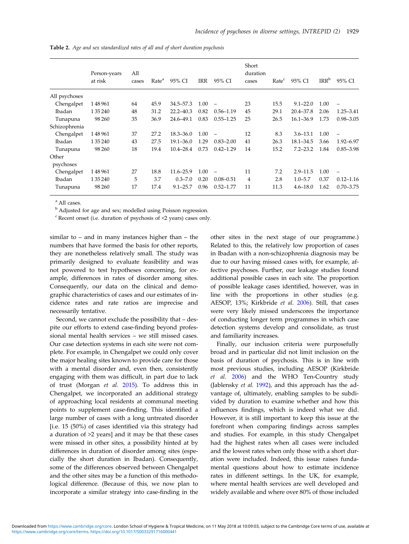|               | Person-years<br>at risk | All<br>cases | Rate <sup>a</sup> | 95% CI        | <b>IRR</b> | 95% CI                   | Short<br>duration<br>cases | Rate <sup>c</sup> | 95% CI        | IRR <sup>b</sup> | 95% CI          |
|---------------|-------------------------|--------------|-------------------|---------------|------------|--------------------------|----------------------------|-------------------|---------------|------------------|-----------------|
| All psychoses |                         |              |                   |               |            |                          |                            |                   |               |                  |                 |
| Chengalpet    | 148961                  | 64           | 45.9              | 34.5-57.3     | 1.00       | $\overline{\phantom{0}}$ | 23                         | 15.5              | $9.1 - 22.0$  | 1.00             | $\qquad \qquad$ |
| Ibadan        | 1 35 240                | 48           | 31.2              | $22.2 - 40.3$ | 0.82       | $0.56 - 1.19$            | 45                         | 29.1              | $20.4 - 37.8$ | 2.06             | $1.25 - 3.41$   |
| Tunapuna      | 98 260                  | 35           | 36.9              | 24.6-49.1     | 0.83       | $0.55 - 1.25$            | 25                         | 26.5              | $16.1 - 36.9$ | 1.73             | $0.98 - 3.05$   |
| Schizophrenia |                         |              |                   |               |            |                          |                            |                   |               |                  |                 |
| Chengalpet    | 148961                  | 37           | 27.2              | $18.3 - 36.0$ | 1.00       |                          | 12                         | 8.3               | $3.6 - 13.1$  | 1.00             |                 |
| Ibadan        | 1 35 240                | 43           | 27.5              | $19.1 - 36.0$ | 1.29       | $0.83 - 2.00$            | 41                         | 26.3              | $18.1 - 34.5$ | 3.66             | 1.92-6.97       |
| Tunapuna      | 98 260                  | 18           | 19.4              | $10.4 - 28.4$ | 0.73       | $0.42 - 1.29$            | 14                         | 15.2              | $7.2 - 23.2$  | 1.84             | $0.85 - 3.98$   |
| Other         |                         |              |                   |               |            |                          |                            |                   |               |                  |                 |
| psychoses     |                         |              |                   |               |            |                          |                            |                   |               |                  |                 |
| Chengalpet    | 148961                  | 27           | 18.8              | 11.6-25.9     | 1.00       | $\qquad \qquad -$        | 11                         | 7.2               | $2.9 - 11.5$  | 1.00             |                 |
| Ibadan        | 1 35 240                | 5            | 3.7               | $0.3 - 7.0$   | 0.20       | $0.08 - 0.51$            | 4                          | 2.8               | $1.0 - 5.7$   | 0.37             | $0.12 - 1.16$   |
| Tunapuna      | 98 260                  | 17           | 17.4              | $9.1 - 25.7$  | 0.96       | $0.52 - 1.77$            | 11                         | 11.3              | $4.6 - 18.0$  | 1.62             | $0.70 - 3.75$   |

<span id="page-6-0"></span>Table 2. Age and sex standardized rates of all and of short duration psychosis

<sup>a</sup> All cases.

<sup>b</sup> Adjusted for age and sex; modelled using Poisson regression.

 $c$  Recent onset (i.e. duration of psychosis of  $\leq$  years) cases only.

similar to – and in many instances higher than – the numbers that have formed the basis for other reports, they are nonetheless relatively small. The study was primarily designed to evaluate feasibility and was not powered to test hypotheses concerning, for example, differences in rates of disorder among sites. Consequently, our data on the clinical and demographic characteristics of cases and our estimates of incidence rates and rate ratios are imprecise and necessarily tentative.

Second, we cannot exclude the possibility that – despite our efforts to extend case-finding beyond professional mental health services – we still missed cases. Our case detection systems in each site were not complete. For example, in Chengalpet we could only cover the major healing sites known to provide care for those with a mental disorder and, even then, consistently engaging with them was difficult, in part due to lack of trust (Morgan et al. [2015\)](#page-9-0). To address this in Chengalpet, we incorporated an additional strategy of approaching local residents at communal meeting points to supplement case-finding. This identified a large number of cases with a long untreated disorder [i.e. 15 (50%) of cases identified via this strategy had a duration of >2 years] and it may be that these cases were missed in other sites, a possibility hinted at by differences in duration of disorder among sites (especially the short duration in Ibadan). Consequently, some of the differences observed between Chengalpet and the other sites may be a function of this methodological difference. (Because of this, we now plan to incorporate a similar strategy into case-finding in the

other sites in the next stage of our programme.) Related to this, the relatively low proportion of cases in Ibadan with a non-schizophrenia diagnosis may be due to our having missed cases with, for example, affective psychoses. Further, our leakage studies found additional possible cases in each site. The proportion of possible leakage cases identified, however, was in line with the proportions in other studies (e.g. AESOP, 13%; Kirkbride et al. [2006\)](#page-9-0). Still, that cases were very likely missed underscores the importance of conducting longer term programmes in which case detection systems develop and consolidate, as trust and familiarity increases.

Finally, our inclusion criteria were purposefully broad and in particular did not limit inclusion on the basis of duration of psychosis. This is in line with most previous studies, including AESOP (Kirkbride et al. [2006\)](#page-9-0) and the WHO Ten-Country study (Jablensky et al. [1992](#page-9-0)), and this approach has the advantage of, ultimately, enabling samples to be subdivided by duration to examine whether and how this influences findings, which is indeed what we did. However, it is still important to keep this issue at the forefront when comparing findings across samples and studies. For example, in this study Chengalpet had the highest rates when all cases were included and the lowest rates when only those with a short duration were included. Indeed, this issue raises fundamental questions about how to estimate incidence rates in different settings. In the UK, for example, where mental health services are well developed and widely available and where over 80% of those included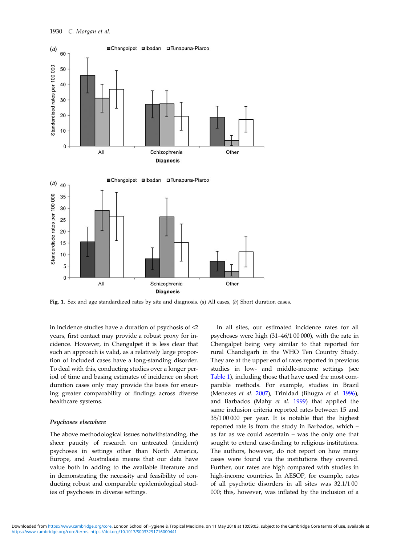<span id="page-7-0"></span>

Fig. 1. Sex and age standardized rates by site and diagnosis. (a) All cases, (b) Short duration cases.

in incidence studies have a duration of psychosis of <2 years, first contact may provide a robust proxy for incidence. However, in Chengalpet it is less clear that such an approach is valid, as a relatively large proportion of included cases have a long-standing disorder. To deal with this, conducting studies over a longer period of time and basing estimates of incidence on short duration cases only may provide the basis for ensuring greater comparability of findings across diverse healthcare systems.

### Psychoses elsewhere

The above methodological issues notwithstanding, the sheer paucity of research on untreated (incident) psychoses in settings other than North America, Europe, and Australasia means that our data have value both in adding to the available literature and in demonstrating the necessity and feasibility of conducting robust and comparable epidemiological studies of psychoses in diverse settings.

In all sites, our estimated incidence rates for all psychoses were high (31–46/1 00 000), with the rate in Chengalpet being very similar to that reported for rural Chandigarh in the WHO Ten Country Study. They are at the upper end of rates reported in previous studies in low- and middle-income settings (see [Table 1](#page-2-0)), including those that have used the most comparable methods. For example, studies in Brazil (Menezes et al. [2007\)](#page-9-0), Trinidad (Bhugra et al. [1996](#page-9-0)), and Barbados (Mahy et al. [1999](#page-9-0)) that applied the same inclusion criteria reported rates between 15 and 35/1 00 000 per year. It is notable that the highest reported rate is from the study in Barbados, which – as far as we could ascertain – was the only one that sought to extend case-finding to religious institutions. The authors, however, do not report on how many cases were found via the institutions they covered. Further, our rates are high compared with studies in high-income countries. In AESOP, for example, rates of all psychotic disorders in all sites was 32.1/1 00 000; this, however, was inflated by the inclusion of a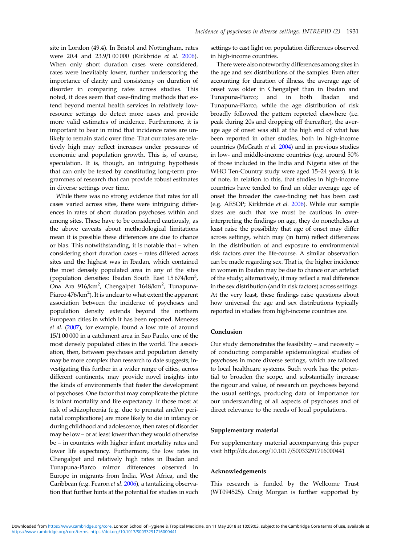site in London (49.4). In Bristol and Nottingham, rates were 20.4 and 23.9/1 00 000 (Kirkbride et al. [2006](#page-9-0)). When only short duration cases were considered, rates were inevitably lower, further underscoring the importance of clarity and consistency on duration of disorder in comparing rates across studies. This noted, it does seem that case-finding methods that extend beyond mental health services in relatively lowresource settings do detect more cases and provide more valid estimates of incidence. Furthermore, it is important to bear in mind that incidence rates are unlikely to remain static over time. That our rates are relatively high may reflect increases under pressures of economic and population growth. This is, of course, speculation. It is, though, an intriguing hypothesis that can only be tested by constituting long-term programmes of research that can provide robust estimates in diverse settings over time.

While there was no strong evidence that rates for all cases varied across sites, there were intriguing differences in rates of short duration psychoses within and among sites. These have to be considered cautiously, as the above caveats about methodological limitations mean it is possible these differences are due to chance or bias. This notwithstanding, it is notable that – when considering short duration cases – rates differed across sites and the highest was in Ibadan, which contained the most densely populated area in any of the sites (population densities: Ibadan South East  $15674/km^2$ , Ona Ara 916/km<sup>2</sup>, Chengalpet 1648/km<sup>2</sup>, Tunapuna-Piarco  $476/\text{km}^2$ ). It is unclear to what extent the apparent association between the incidence of psychoses and population density extends beyond the northern European cities in which it has been reported. Menezes et al. ([2007](#page-9-0)), for example, found a low rate of around 15/1 00 000 in a catchment area in Sao Paulo, one of the most densely populated cities in the world. The association, then, between psychoses and population density may be more complex than research to date suggests; investigating this further in a wider range of cities, across different continents, may provide novel insights into the kinds of environments that foster the development of psychoses. One factor that may complicate the picture is infant mortality and life expectancy. If those most at risk of schizophrenia (e.g. due to prenatal and/or perinatal complications) are more likely to die in infancy or during childhood and adolescence, then rates of disorder may be low – or at least lower than they would otherwise be – in countries with higher infant mortality rates and lower life expectancy. Furthermore, the low rates in Chengalpet and relatively high rates in Ibadan and Tunapuna-Piarco mirror differences observed in Europe in migrants from India, West Africa, and the Caribbean (e.g. Fearon et al. [2006](#page-9-0)), a tantalizing observation that further hints at the potential for studies in such settings to cast light on population differences observed in high-income countries.

There were also noteworthy differences among sites in the age and sex distributions of the samples. Even after accounting for duration of illness, the average age of onset was older in Chengalpet than in Ibadan and Tunapuna-Piarco; and in both Ibadan and Tunapuna-Piarco, while the age distribution of risk broadly followed the pattern reported elsewhere (i.e. peak during 20s and dropping off thereafter), the average age of onset was still at the high end of what has been reported in other studies, both in high-income countries (McGrath et al. [2004\)](#page-9-0) and in previous studies in low- and middle-income countries (e.g. around 50% of those included in the India and Nigeria sites of the WHO Ten-Country study were aged 15–24 years). It is of note, in relation to this, that studies in high-income countries have tended to find an older average age of onset the broader the case-finding net has been cast (e.g. AESOP; Kirkbride et al. [2006](#page-9-0)). While our sample sizes are such that we must be cautious in overinterpreting the findings on age, they do nonetheless at least raise the possibility that age of onset may differ across settings, which may (in turn) reflect differences in the distribution of and exposure to environmental risk factors over the life-course. A similar observation can be made regarding sex. That is, the higher incidence in women in Ibadan may be due to chance or an artefact of the study; alternatively, it may reflect a real difference in the sex distribution (and in risk factors) across settings. At the very least, these findings raise questions about how universal the age and sex distributions typically reported in studies from high-income countries are.

## Conclusion

Our study demonstrates the feasibility – and necessity – of conducting comparable epidemiological studies of psychoses in more diverse settings, which are tailored to local healthcare systems. Such work has the potential to broaden the scope, and substantially increase the rigour and value, of research on psychoses beyond the usual settings, producing data of importance for our understanding of all aspects of psychoses and of direct relevance to the needs of local populations.

## Supplementary material

For supplementary material accompanying this paper visit http://dx.doi.org/10.1017/S0033291716000441

#### Acknowledgements

This research is funded by the Wellcome Trust (WT094525). Craig Morgan is further supported by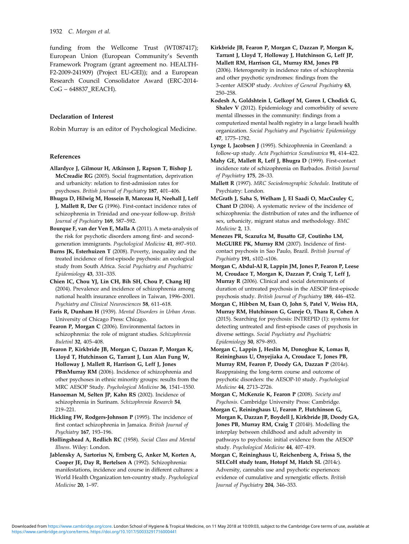<span id="page-9-0"></span>funding from the Wellcome Trust (WT087417); European Union (European Community's Seventh Framework Program (grant agreement no. HEALTH-F2-2009-241909) (Project EU-GEI)); and a European Research Council Consolidator Award (ERC-2014- CoG – 648837\_REACH).

## Declaration of Interest

Robin Murray is an editor of Psychological Medicine.

### References

- Allardyce J, Gilmour H, Atkinson J, Rapson T, Bishop J, McCreadie RG (2005). Social fragmentation, deprivation and urbanicity: relation to first-admission rates for psychoses. British Journal of Psychiatry 187, 401–406.
- Bhugra D, Hilwig M, Hossein B, Marceau H, Neehall J, Leff J, Mallett R, Der G (1996). First-contact incidence rates of schizophrenia in Trinidad and one-year follow-up. British Journal of Psychiatry 169, 587–592.
- Bourque F, van der Ven E, Malla A (2011). A meta-analysis of the risk for psychotic disorders among first- and secondgeneration immigrants. Psychological Medicine 41, 897–910.
- Burns JK, Esterhuizen T (2008). Poverty, inequality and the treated incidence of first-episode psychosis: an ecological study from South Africa. Social Psychiatry and Psychiatric Epidemiology 43, 331–335.
- Chien IC, Chou YJ, Lin CH, Bih SH, Chou P, Chang HJ (2004). Prevalence and incidence of schizophrenia among national health insurance enrollees in Taiwan, 1996–2001. Psychiatry and Clinical Neurosciences 58, 611–618.
- Faris R, Dunham H (1939). Mental Disorders in Urban Areas. University of Chicago Press: Chicago.
- Fearon P, Morgan C (2006). Environmental factors in schizophrenia: the role of migrant studies. Schizophrenia Buletinl 32, 405–408.
- Fearon P, Kirkbride JB, Morgan C, Dazzan P, Morgan K, Lloyd T, Hutchinson G, Tarrant J, Lun Alan Fung W, Holloway J, Mallett R, Harrison G, Leff J, Jones PBmMurray RM (2006). Incidence of schizophrenia and other psychoses in ethnic minority groups: results from the MRC AESOP Study. Psychological Medicine 36, 1541–1550.
- Hanoeman M, Selten JP, Kahn RS (2002). Incidence of schizophrenia in Surinam. Schizophrenia Research 54, 219–221.
- Hickling FW, Rodgers-Johnson P (1995). The incidence of first contact schizophrenia in Jamaica. British Journal of Psychiatry 167, 193–196.
- Hollingshead A, Redlich RC (1958). Social Class and Mental Illness. Wiley: London.
- Jablensky A, Sartorius N, Ernberg G, Anker M, Korten A, Cooper JE, Day R, Bertelsen A (1992). Schizophrenia: manifestations, incidence and course in different cultures: a World Health Organization ten-country study. Psychological Medicine 20, 1–97.
- Kirkbride JB, Fearon P, Morgan C, Dazzan P, Morgan K, Tarrant J, Lloyd T, Holloway J, Hutchinson G, Leff JP, Mallett RM, Harrison GL, Murray RM, Jones PB (2006). Heterogeneity in incidence rates of schizophrenia and other psychotic syndromes: findings from the 3-center AESOP study. Archives of General Psychiatry 63, 250–258.
- Kodesh A, Goldshtein I, Gelkopf M, Goren I, Chodick G, Shalev V (2012). Epidemiology and comorbidity of severe mental illnesses in the community: findings from a computerized mental health registry in a large Israeli health organization. Social Psychiatry and Psychiatric Epidemiology 47, 1775–1782.
- Lynge I, Jacobsen J (1995). Schizophrenia in Greenland: a follow‐up study. Acta Psychiatrica Scandinavica 91, 414–422.
- Mahy GE, Mallett R, Leff J, Bhugra D (1999). First-contact incidence rate of schizophrenia on Barbados. British Journal of Psychiatry 175, 28–33.
- Mallett R (1997). MRC Sociodemographic Schedule. Institute of Psychiatry: London.
- McGrath J, Saha S, Welham J, El Saadi O, MacCauley C, Chant D (2004). A systematic review of the incidence of schizophrenia: the distribution of rates and the influence of sex, urbanicity, migrant status and methodology. BMC Medicine 2, 13.
- Menezes PR, Scazufca M, Busatto GF, Coutinho LM, McGUIRE PK, Murray RM (2007). Incidence of firstcontact psychosis in Sao Paulo, Brazil. British Journal of Psychiatry 191, s102–s106.
- Morgan C, Abdul-Al R, Lappin JM, Jones P, Fearon P, Leese M, Croudace T, Morgan K, Dazzan P, Craig T, Leff J, Murray R (2006). Clinical and social determinants of duration of untreated psychosis in the AESOP first-episode psychosis study. British Journal of Psychiatry 189, 446–452.
- Morgan C, Hibben M, Esan O, John S, Patel V, Weiss HA, Murray RM, Hutchinson G, Gureje O, Thara R, Cohen A (2015). Searching for psychosis: INTREPID (1): systems for detecting untreated and first-episode cases of psychosis in diverse settings. Social Psychiatry and Psychiatric Epidemiology 50, 879–893.
- Morgan C, Lappin J, Heslin M, Donoghue K, Lomas B, Reininghaus U, Onyejiaka A, Croudace T, Jones PB, Murray RM, Fearon P, Doody GA, Dazzan P (2014a). Reappraising the long-term course and outcome of psychotic disorders: the AESOP-10 study. Psychological Medicine 44, 2713–2726.
- Morgan C, McKenzie K, Fearon P (2008). Society and Psychosis. Cambridge University Press: Cambridge.
- Morgan C, Reininghaus U, Fearon P, Hutchinson G, Morgan K, Dazzan P, Boydell J, Kirkbride JB, Doody GA, Jones PB, Murray RM, Craig T (2014b). Modelling the interplay between childhood and adult adversity in pathways to psychosis: initial evidence from the AESOP study. Psychological Medicine 44, 407–419.
- Morgan C, Reininghaus U, Reichenberg A, Frissa S, the SELCoH study team, Hotopf M, Hatch SL (2014c). Adversity, cannabis use and psychotic experiences: evidence of cumulative and synergistic effects. British Journal of Psychiatry 204, 346–353.